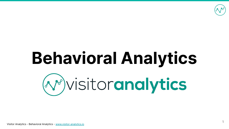

# **Behavioral Analytics** (v) visitoranalytics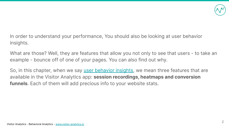

In order to understand your performance, You should also be looking at user behavior insights.

What are those? Well, they are features that allow you not only to see that users - to take an example - bounce off of one of your pages. You can also find out why.

So, in this chapter, when we say [user behavior insights,](https://go2page.org/DMPresentation58) we mean three features that are available in the Visitor Analytics app: **session recordings, heatmaps and conversion funnels**. Each of them will add precious info to your website stats.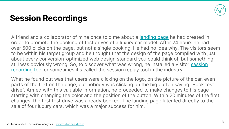

## **Session Recordings**

A friend and a collaborator of mine once told me about a [landing page](https://go2page.org/DMPresentation59) he had created in order to promote the booking of test drives of a luxury car model. After 24 hours he had over 500 clicks on the page, but not a single booking. He had no idea why. The visitors seem to be within his target group and he thought that the design of the page complied with just about every conversion-optimized web design standard you could think of, but something still was obviously wrong. So, to discover what was wrong, he installed a visitor [session](https://go2page.org/DMPresentation60) [recording tool](https://go2page.org/DMPresentation60) or sometimes it's called the session replay tool in the industry.

What he found out was that users were clicking on the logo, on the picture of the car, even parts of the text on the page, but nobody was clicking on the big button saying "Book test drive". Armed with this valuable information, he proceeded to make changes to his page starting with changing the color and the position of the button. Within 20 minutes of the first changes, the first test drive was already booked. The landing page later led directly to the sale of four luxury cars, which was a major success for him.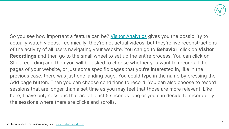

So you see how important a feature can be? [Visitor Analytics](https://go2page.org/DMPresentation61) gives you the possibility to actually watch videos. Technically, they're not actual videos, but they're live reconstructions of the activity of all users navigating your website. You can go to **Behavior**, click on **Visitor Recordings** and then go to the small wheel to set up the entire process. You can click on Start recording and then you will be asked to choose whether you want to record all the pages of your website, or just some specific pages that you're interested in, like in the previous case, there was just one landing page. You could type in the name by pressing the Add page button. Then you can choose conditions to record. You can also choose to record sessions that are longer than a set time as you may feel that those are more relevant. Like here, I have only sessions that are at least 5 seconds long or you can decide to record only the sessions where there are clicks and scrolls.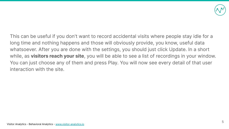

This can be useful if you don't want to record accidental visits where people stay idle for a long time and nothing happens and those will obviously provide, you know, useful data whatsoever. After you are done with the settings, you should just click Update. In a short while, as **visitors reach your site**, you will be able to see a list of recordings in your window. You can just choose any of them and press Play. You will now see every detail of that user interaction with the site.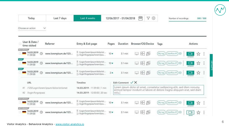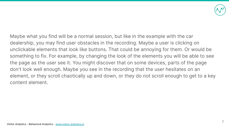

Maybe what you find will be a normal session, but like in the example with the car dealership, you may find user obstacles in the recording. Maybe a user is clicking on unclickable elements that look like buttons. That could be annoying for them. Or would be something to fix. For example, by changing the look of the elements you will be able to see the page as the user see it. You might discover that on some devices, parts of the page don't look well enough. Maybe you see in the recording that the user hesitates on an element, or they scroll chaotically up and down, or they do not scroll enough to get to a key content element.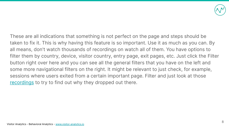

These are all indications that something is not perfect on the page and steps should be taken to fix it. This is why having this feature is so important. Use it as much as you can. By all means, don't watch thousands of recordings on watch all of them. You have options to filter them by country, device, visitor country, entry page, exit pages, etc. Just click the Filter button right over here and you can see all the general filters that you have on the left and some more navigational filters on the right. It might be relevant to just check, for example, sessions where users exited from a certain important page. Filter and just look at those [recordings](https://go2page.org/DMPresentation62) to try to find out why they dropped out there.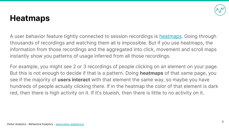

### **Heatmaps**

A user behavior feature tightly connected to session recordings is [heatmaps](https://go2page.org/DMPresentation63). Going through thousands of recordings and watching them all is impossible. But if you use heatmaps, the information from those recordings and the aggregated into click, movement and scroll maps instantly show you patterns of usage inferred from all those recordings.

For example, you might see 2 or 3 recordings of people clicking on an element on your page. But this is not enough to decide if that is a pattern. Doing **heatmaps** of that same page, you see if the majority of **users interact** with that element the same way, so maybe you have hundreds of people actually clicking there. If in the heatmap the color of that element is dark red, then there is high activity on it. If it's blueish, then there is little to no activity on it.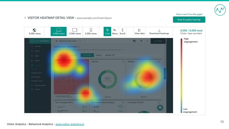

#### Have a new UI on this page?

#### < VISITOR HEATMAP DETAIL VIEW - www.example.com/lorem/ispum

#### Reset & update heatmap

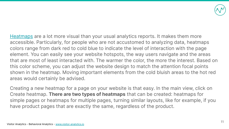

[Heatmaps](https://go2page.org/DMPresentation63) are a lot more visual than your usual analytics reports. It makes them more accessible. Particularly, for people who are not accustomed to analyzing data, heatmaps colors range from dark red to cold blue to indicate the level of interaction with the page element. You can easily see your website hotspots, the way users navigate and the areas that are most of least interacted with. The warmer the color, the more the interest. Based on this color scheme, you can adjust the website design to match the attention focal points shown in the heatmap. Moving important elements from the cold bluish areas to the hot red areas would certainly be advised.

Creating a new heatmap for a page on your website is that easy. In the main view, click on Create heatmap. **There are two types of heatmaps** that can be created: heatmaps for simple pages or heatmaps for multiple pages, turning similar layouts, like for example, if you have product pages that are exactly the same, regardless of the product.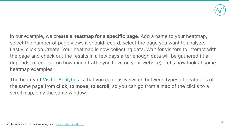

In our example, we c**reate a heatmap for a specific page**. Add a name to your heatmap, select the number of page views it should record, select the page you want to analyze. Lastly, click on Create. Your heatmap is now collecting data. Wait for visitors to interact with the page and check out the results in a few days after enough data will be gathered (it all depends, of course, on how much traffic you have on your website). Let's now look at some heatmap examples.

The beauty of [Visitor Analytics](https://go2page.org/DMPresentation61) is that you can easily switch between types of heatmaps of the same page from **click, to move, to scroll,** so you can go from a map of the clicks to a scroll map, only the same window.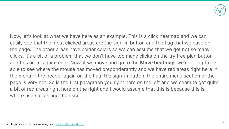

Now, let's look at what we have here as an example. This is a click heatmap and we can easily see that the most clicked areas are the sign-in button and the flag that we have on the page. The other areas have colder colors so we can assume that we get not so many clicks. It's a bit of a problem that we don't have too many clicks on the try free plan button and this area is quite cold. Now, if we move and go to the **Move heatmap**, we're going to be able to see where the mouse has moved preponderantly and we have red areas right here in the menu in the header again on the flag, the sign-in button, the entire menu section of the page is very hot. So is the first paragraph you right here on the left and we seem to get quite a bit of red areas right here on the right and I would assume that this is because this is where users click and then scroll.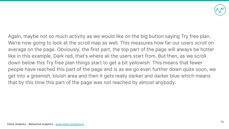

Again, maybe not so much activity as we would like on the big button saying Try free plan. We're now going to look at the scroll map as well. This measures how far our users scroll on average on the page. Obviously, the first part, the top part of the page will always be hotter like in this example. Dark red, that's where all the users start from. But then, as we scroll down below this Try free plan things start to get a bit yellowish. This means that fewer people have reached this part of the page and is as we go even further down quite soon, we get into a greenish, bluish area and then it gets really darker and darker blue which means that by this time this part of the page was not reached by almost anybody.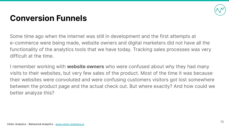

## **Conversion Funnels**

Some time ago when the internet was still in development and the first attempts at e-commerce were being made, website owners and digital marketers did not have all the functionality of the analytics tools that we have today. Tracking sales processes was very difficult at the time.

I remember working with **website owners** who were confused about why they had many visits to their websites, but very few sales of the product. Most of the time it was because their websites were convoluted and were confusing customers visitors got lost somewhere between the product page and the actual check out. But where exactly? And how could we better analyze this?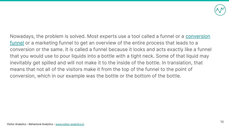

Nowadays, the problem is solved. Most experts use a tool called a funnel or a [conversion](https://go2page.org/DMPresentation64) [funnel](https://go2page.org/DMPresentation64) or a marketing funnel to get an overview of the entire process that leads to a conversion or the same. It is called a funnel because it looks and acts exactly like a funnel that you would use to pour liquids into a bottle with a tight neck. Some of that liquid may inevitably get spilled and will not make it to the inside of the bottle. In translation, that means that not all of the visitors make it from the top of the funnel to the point of conversion, which in our example was the bottle or the bottom of the bottle.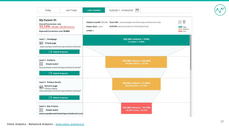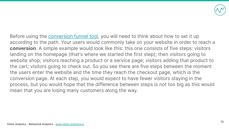

Before using the **[conversion funnel tool](https://go2page.org/DMPresentation65)**, you will need to think about how to set it up according to the path. Your users would commonly take on your website in order to reach a **conversion**. A simple example would look like this: this one consists of five steps: visitors landing on the homepage (that's where we started the first step); then visitors going to website shop; visitors reaching a product or a service page; visitors adding that product to the cart; visitors going to check out. So you see there are five steps between the moment the users enter the website and the time they reach the checkout page, which is the conversion page. At each step, you would expect to have fewer visitors staying in the process, but you would hope that the difference between steps is not too big as this would mean that you are losing many customers along the way.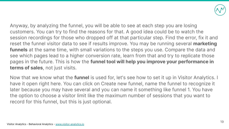

Anyway, by analyzing the funnel, you will be able to see at each step you are losing customers. You can try to find the reasons for that. A good idea could be to watch the session recordings for those who dropped off at that particular step. Find the error, fix it and reset the funnel visitor data to see if results improve. You may be running several **marketing funnels** at the same time, with small variations to the steps you use. Compare the data and see which pages lead to a higher conversion rate, learn from that and try to replicate those pages in the future. This is how the **funnel tool will help you improve your performance in terms of sales**, not just visits.

Now that we know what the **funnel** is used for, let's see how to set it up in Visitor Analytics. I have it open right here. You can click on Create new funnel, name the funnel to recognize it later because you may have several and you can name it something like funnel 1. You have the option to choose a visitor limit like the maximum number of sessions that you want to record for this funnel, but this is just optional.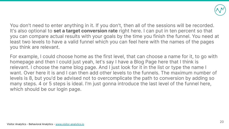

You don't need to enter anything in it. If you don't, then all of the sessions will be recorded. It's also optional to **set a target conversion rate** right here. I can put in ten percent so that you can compare actual results with your goals by the time you finish the funnel. You need at least two levels to have a valid funnel which you can feel here with the names of the pages you think are relevant.

For example, I could choose home as the first level, that can choose a name for it, to go with homepage and then I could just yeah, let's say I have a Blog Page here that I think is relevant. I choose the name blog page. And I just look for it in the list or type the name I want. Over here it is and I can then add other levels to the funnels. The maximum number of levels is 8, but you'd be advised not to overcomplicate the path to conversion by adding so many steps. 4 or 5 steps is ideal. I'm just gonna introduce the last level of the funnel here, which should be our login page.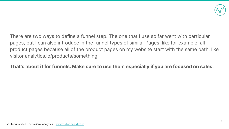

There are two ways to define a funnel step. The one that I use so far went with particular pages, but I can also introduce in the funnel types of similar Pages, like for example, all product pages because all of the product pages on my website start with the same path, like visitor analytics.io/products/something.

**That's about it for funnels. Make sure to use them especially if you are focused on sales.**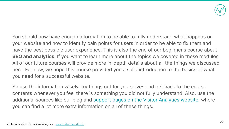

You should now have enough information to be able to fully understand what happens on your website and how to identify pain points for users in order to be able to fix them and have the best possible user experience. This is also the end of our beginner's course about **SEO and analytics**. If you want to learn more about the topics we covered in these modules. All of our future courses will provide more in-depth details about all the things we discussed here. For now, we hope this course provided you a solid introduction to the basics of what you need for a successful website.

So use the information wisely, try things out for yourselves and get back to the course contents whenever you feel there is something you did not fully understand. Also, use the additional sources like our blog and [support pages on the Visitor Analytics website,](https://go2page.org/DMPresentation66) where you can find a lot more extra information on all of these things.